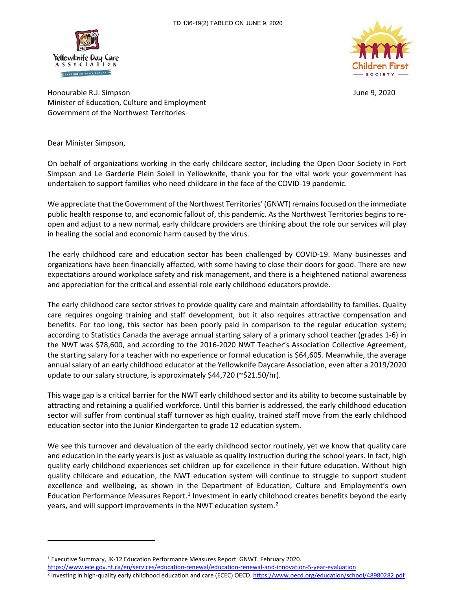



Honourable R.J. Simpson June 9, 2020 Minister of Education, Culture and Employment Government of the Northwest Territories

Dear Minister Simpson,

On behalf of organizations working in the early childcare sector, including the Open Door Society in Fort Simpson and Le Garderie Plein Soleil in Yellowknife, thank you for the vital work your government has undertaken to support families who need childcare in the face of the COVID-19 pandemic.

We appreciate that the Government of the Northwest Territories' (GNWT) remains focused on the immediate public health response to, and economic fallout of, this pandemic. As the Northwest Territories begins to reopen and adjust to a new normal, early childcare providers are thinking about the role our services will play in healing the social and economic harm caused by the virus.

The early childhood care and education sector has been challenged by COVID-19. Many businesses and organizations have been financially affected, with some having to close their doors for good. There are new expectations around workplace safety and risk management, and there is a heightened national awareness and appreciation for the critical and essential role early childhood educators provide.

The early childhood care sector strives to provide quality care and maintain affordability to families. Quality care requires ongoing training and staff development, but it also requires attractive compensation and benefits. For too long, this sector has been poorly paid in comparison to the regular education system; according to Statistics Canada the average annual starting salary of a primary school teacher (grades 1-6) in the NWT was \$78,600, and according to the 2016-2020 NWT Teacher's Association Collective Agreement, the starting salary for a teacher with no experience or formal education is \$64,605. Meanwhile, the average annual salary of an early childhood educator at the Yellowknife Daycare Association, even after a 2019/2020 update to our salary structure, is approximately \$44,720 (~\$21.50/hr).

This wage gap is a critical barrier for the NWT early childhood sector and its ability to become sustainable by attracting and retaining a qualified workforce. Until this barrier is addressed, the early childhood education sector will suffer from continual staff turnover as high quality, trained staff move from the early childhood education sector into the Junior Kindergarten to grade 12 education system.

We see this turnover and devaluation of the early childhood sector routinely, yet we know that quality care and education in the early years is just as valuable as quality instruction during the school years. In fact, high quality early childhood experiences set children up for excellence in their future education. Without high quality childcare and education, the NWT education system will continue to struggle to support student excellence and wellbeing, as shown in the Department of Education, Culture and Employment's own Education Performance Measures Report.<sup>[1](#page-0-0)</sup> Investment in early childhood creates benefits beyond the early years, and will support improvements in the NWT education system.<sup>[2](#page-0-1)</sup>

<span id="page-0-0"></span><sup>1</sup> Executive Summary, JK-12 Education Performance Measures Report. GNWT. February 2020.

<https://www.ece.gov.nt.ca/en/services/education-renewal/education-renewal-and-innovation-5-year-evaluation>

<span id="page-0-1"></span><sup>&</sup>lt;sup>2</sup> Investing in high-quality early childhood education and care (ECEC) OECD[. https://www.oecd.org/education/school/48980282.pdf](https://www.oecd.org/education/school/48980282.pdf)